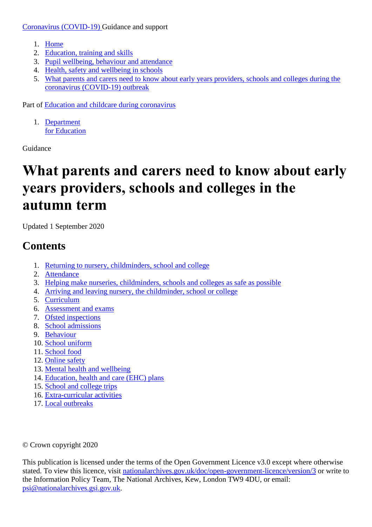[Coronavirus \(COVID-19\) G](https://www.gov.uk/coronavirus)uidance and support

- 1. [Home](https://www.gov.uk/)
- 2. [Education, training and skills](https://www.gov.uk/education)
- 3. Pupil wellbeing, [behaviour and attendance](https://www.gov.uk/education/pupil-wellbeing-behaviour-and-attendance)
- 4. [Health, safety and wellbeing in schools](https://www.gov.uk/education/health-safety-and-wellbeing-in-schools)
- 5. [What parents and carers need to know about early years providers, schools and colleges during the](https://www.gov.uk/government/publications/what-parents-and-carers-need-to-know-about-early-years-providers-schools-and-colleges-during-the-coronavirus-covid-19-outbreak)  [coronavirus \(COVID-19\) outbreak](https://www.gov.uk/government/publications/what-parents-and-carers-need-to-know-about-early-years-providers-schools-and-colleges-during-the-coronavirus-covid-19-outbreak)

Part of [Education and childcare during coronavirus](https://www.gov.uk/coronavirus-taxon/education-and-childcare) 

1. [Department](https://www.gov.uk/government/organisations/department-for-education)  [for Education](https://www.gov.uk/government/organisations/department-for-education)

Guidance

# **What parents and carers need to know about early years providers, schools and colleges in the autumn term**

Updated 1 September 2020

# **Contents**

- 1. [Returning to nursery, childminders, school and college](https://www.gov.uk/government/publications/what-parents-and-carers-need-to-know-about-early-years-providers-schools-and-colleges-during-the-coronavirus-covid-19-outbreak/what-parents-and-carers-need-to-know-about-early-years-providers-schools-and-colleges-in-the-autumn-term#returning-to-nursery-childminders-school-and-college)
- 2. [Attendance](https://www.gov.uk/government/publications/what-parents-and-carers-need-to-know-about-early-years-providers-schools-and-colleges-during-the-coronavirus-covid-19-outbreak/what-parents-and-carers-need-to-know-about-early-years-providers-schools-and-colleges-in-the-autumn-term#attendance)
- 3. [Helping make nurseries, childminders, schools and colleges as safe as possible](https://www.gov.uk/government/publications/what-parents-and-carers-need-to-know-about-early-years-providers-schools-and-colleges-during-the-coronavirus-covid-19-outbreak/what-parents-and-carers-need-to-know-about-early-years-providers-schools-and-colleges-in-the-autumn-term#helping-make-nurseries-childminders-schools-and-colleges-as-safe-as-possible)
- 4. [Arriving and leaving nursery, the childminder, school or college](https://www.gov.uk/government/publications/what-parents-and-carers-need-to-know-about-early-years-providers-schools-and-colleges-during-the-coronavirus-covid-19-outbreak/what-parents-and-carers-need-to-know-about-early-years-providers-schools-and-colleges-in-the-autumn-term#arriving-and-leaving-nursery-the-childminder-school-or-college)
- 5. [Curriculum](https://www.gov.uk/government/publications/what-parents-and-carers-need-to-know-about-early-years-providers-schools-and-colleges-during-the-coronavirus-covid-19-outbreak/what-parents-and-carers-need-to-know-about-early-years-providers-schools-and-colleges-in-the-autumn-term#curriculum)
- 6. [Assessment and exams](https://www.gov.uk/government/publications/what-parents-and-carers-need-to-know-about-early-years-providers-schools-and-colleges-during-the-coronavirus-covid-19-outbreak/what-parents-and-carers-need-to-know-about-early-years-providers-schools-and-colleges-in-the-autumn-term#assessment-and-exams)
- 7. [Ofsted inspections](https://www.gov.uk/government/publications/what-parents-and-carers-need-to-know-about-early-years-providers-schools-and-colleges-during-the-coronavirus-covid-19-outbreak/what-parents-and-carers-need-to-know-about-early-years-providers-schools-and-colleges-in-the-autumn-term#ofsted-inspections)
- 8. [School admissions](https://www.gov.uk/government/publications/what-parents-and-carers-need-to-know-about-early-years-providers-schools-and-colleges-during-the-coronavirus-covid-19-outbreak/what-parents-and-carers-need-to-know-about-early-years-providers-schools-and-colleges-in-the-autumn-term#school-admissions)
- 9. [Behaviour](https://www.gov.uk/government/publications/what-parents-and-carers-need-to-know-about-early-years-providers-schools-and-colleges-during-the-coronavirus-covid-19-outbreak/what-parents-and-carers-need-to-know-about-early-years-providers-schools-and-colleges-in-the-autumn-term#behaviour)
- 10. [School uniform](https://www.gov.uk/government/publications/what-parents-and-carers-need-to-know-about-early-years-providers-schools-and-colleges-during-the-coronavirus-covid-19-outbreak/what-parents-and-carers-need-to-know-about-early-years-providers-schools-and-colleges-in-the-autumn-term#school-uniform)
- 11. [School food](https://www.gov.uk/government/publications/what-parents-and-carers-need-to-know-about-early-years-providers-schools-and-colleges-during-the-coronavirus-covid-19-outbreak/what-parents-and-carers-need-to-know-about-early-years-providers-schools-and-colleges-in-the-autumn-term#school-food)
- 12. [Online safety](https://www.gov.uk/government/publications/what-parents-and-carers-need-to-know-about-early-years-providers-schools-and-colleges-during-the-coronavirus-covid-19-outbreak/what-parents-and-carers-need-to-know-about-early-years-providers-schools-and-colleges-in-the-autumn-term#online-safety)
- 13. [Mental health and wellbeing](https://www.gov.uk/government/publications/what-parents-and-carers-need-to-know-about-early-years-providers-schools-and-colleges-during-the-coronavirus-covid-19-outbreak/what-parents-and-carers-need-to-know-about-early-years-providers-schools-and-colleges-in-the-autumn-term#mental-health-and-wellbeing)
- 14. [Education, health and care \(EHC\) plans](https://www.gov.uk/government/publications/what-parents-and-carers-need-to-know-about-early-years-providers-schools-and-colleges-during-the-coronavirus-covid-19-outbreak/what-parents-and-carers-need-to-know-about-early-years-providers-schools-and-colleges-in-the-autumn-term#education-health-and-care-ehc-plans)
- 15. [School and college trips](https://www.gov.uk/government/publications/what-parents-and-carers-need-to-know-about-early-years-providers-schools-and-colleges-during-the-coronavirus-covid-19-outbreak/what-parents-and-carers-need-to-know-about-early-years-providers-schools-and-colleges-in-the-autumn-term#school-and-college-trips)
- 16. [Extra-curricular activities](https://www.gov.uk/government/publications/what-parents-and-carers-need-to-know-about-early-years-providers-schools-and-colleges-during-the-coronavirus-covid-19-outbreak/what-parents-and-carers-need-to-know-about-early-years-providers-schools-and-colleges-in-the-autumn-term#extra-curricular-activities)
- 17. [Local outbreaks](https://www.gov.uk/government/publications/what-parents-and-carers-need-to-know-about-early-years-providers-schools-and-colleges-during-the-coronavirus-covid-19-outbreak/what-parents-and-carers-need-to-know-about-early-years-providers-schools-and-colleges-in-the-autumn-term#local-outbreaks)

© Crown copyright 2020

This publication is licensed under the terms of the Open Government Licence v3.0 except where otherwise stated. To view this licence, visit [nationalarchives.gov.uk/doc/open-government-licence/version/3](https://www.nationalarchives.gov.uk/doc/open-government-licence/version/3) or write to the Information Policy Team, The National Archives, Kew, London TW9 4DU, or email: [psi@nationalarchives.gsi.gov.uk.](mailto:psi@nationalarchives.gsi.gov.uk)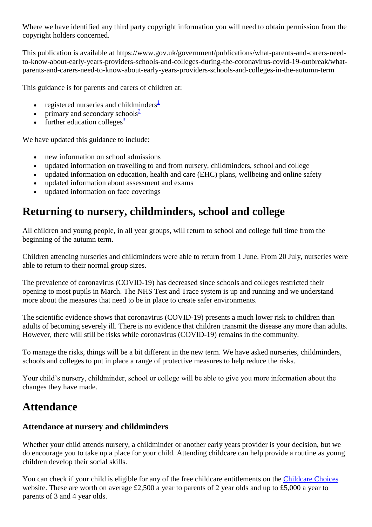Where we have identified any third party copyright information you will need to obtain permission from the copyright holders concerned.

This publication is available at https://www.gov.uk/government/publications/what-parents-and-carers-needto-know-about-early-years-providers-schools-and-colleges-during-the-coronavirus-covid-19-outbreak/whatparents-and-carers-need-to-know-about-early-years-providers-schools-and-colleges-in-the-autumn-term

This guidance is for parents and carers of children at:

- regi[s](https://www.gov.uk/government/publications/what-parents-and-carers-need-to-know-about-early-years-providers-schools-and-colleges-during-the-coronavirus-covid-19-outbreak/what-parents-and-carers-need-to-know-about-early-years-providers-schools-and-colleges-in-the-autumn-term#fn:1)tered nurseries and childminders $\frac{1}{2}$
- primary and secondary schools $\frac{2}{3}$  $\frac{2}{3}$  $\frac{2}{3}$
- $\cdot$  further education college[s](https://www.gov.uk/government/publications/what-parents-and-carers-need-to-know-about-early-years-providers-schools-and-colleges-during-the-coronavirus-covid-19-outbreak/what-parents-and-carers-need-to-know-about-early-years-providers-schools-and-colleges-in-the-autumn-term#fn:3)<sup>3</sup>

We have updated this guidance to include:

- new information on school admissions
- updated information on travelling to and from nursery, childminders, school and college
- updated information on education, health and care (EHC) plans, wellbeing and online safety
- updated information about assessment and exams
- updated information on face coverings

# **Returning to nursery, childminders, school and college**

All children and young people, in all year groups, will return to school and college full time from the beginning of the autumn term.

Children attending nurseries and childminders were able to return from 1 June. From 20 July, nurseries were able to return to their normal group sizes.

The prevalence of coronavirus (COVID-19) has decreased since schools and colleges restricted their opening to most pupils in March. The NHS Test and Trace system is up and running and we understand more about the measures that need to be in place to create safer environments.

The scientific evidence shows that coronavirus (COVID-19) presents a much lower risk to children than adults of becoming severely ill. There is no evidence that children transmit the disease any more than adults. However, there will still be risks while coronavirus (COVID-19) remains in the community.

To manage the risks, things will be a bit different in the new term. We have asked nurseries, childminders, schools and colleges to put in place a range of protective measures to help reduce the risks.

Your child's nursery, childminder, school or college will be able to give you more information about the changes they have made.

# **Attendance**

#### **Attendance at nursery and childminders**

Whether your child attends nursery, a childminder or another early years provider is your decision, but we do encourage you to take up a place for your child. Attending childcare can help provide a routine as young children develop their social skills.

You can check if your child is eligible for any of the free childcare entitlements on the [Childcare Choices](https://www.childcarechoices.gov.uk/) website. These are worth on average £2,500 a year to parents of 2 year olds and up to £5,000 a year to parents of 3 and 4 year olds.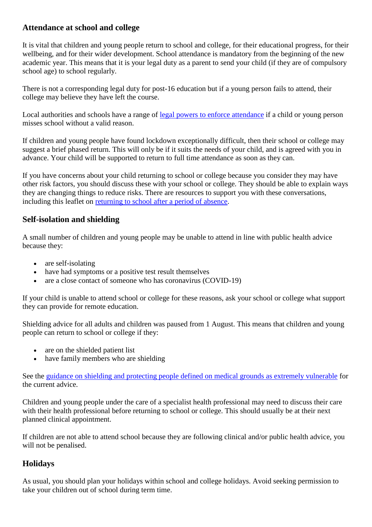#### **Attendance at school and college**

It is vital that children and young people return to school and college, for their educational progress, for their wellbeing, and for their wider development. School attendance is mandatory from the beginning of the new academic year. This means that it is your legal duty as a parent to send your child (if they are of compulsory school age) to school regularly.

There is not a corresponding legal duty for post-16 education but if a young person fails to attend, their college may believe they have left the course.

Local authorities and schools have a range of [legal powers to enforce attendance](https://www.gov.uk/school-attendance-absence/legal-action-to-enforce-school-attendance) if a child or young person misses school without a valid reason.

If children and young people have found lockdown exceptionally difficult, then their school or college may suggest a brief phased return. This will only be if it suits the needs of your child, and is agreed with you in advance. Your child will be supported to return to full time attendance as soon as they can.

If you have concerns about your child returning to school or college because you consider they may have other risk factors, you should discuss these with your school or college. They should be able to explain ways they are changing things to reduce risks. There are resources to support you with these conversations, including this leaflet on [returning to school after a period of absence.](https://www.sendgateway.org.uk/whole-school-send/find-wss-resources/)

#### **Self-isolation and shielding**

A small number of children and young people may be unable to attend in line with public health advice because they:

- are self-isolating
- have had symptoms or a positive test result themselves
- are a close contact of someone who has coronavirus (COVID-19)

If your child is unable to attend school or college for these reasons, ask your school or college what support they can provide for remote education.

Shielding advice for all adults and children was paused from 1 August. This means that children and young people can return to school or college if they:

- are on the shielded patient list
- have family members who are shielding

See the [guidance on shielding and protecting people defined on medical grounds as extremely vulnerable](https://www.gov.uk/government/publications/guidance-on-shielding-and-protecting-extremely-vulnerable-persons-from-covid-19) for the current advice.

Children and young people under the care of a specialist health professional may need to discuss their care with their health professional before returning to school or college. This should usually be at their next planned clinical appointment.

If children are not able to attend school because they are following clinical and/or public health advice, you will not be penalised.

#### **Holidays**

As usual, you should plan your holidays within school and college holidays. Avoid seeking permission to take your children out of school during term time.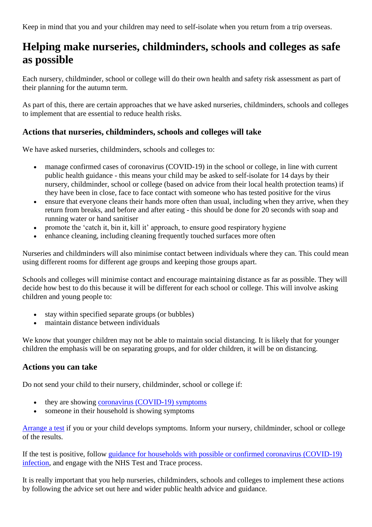Keep in mind that you and your children may need to self-isolate when you return from a trip overseas.

### **Helping make nurseries, childminders, schools and colleges as safe as possible**

Each nursery, childminder, school or college will do their own health and safety risk assessment as part of their planning for the autumn term.

As part of this, there are certain approaches that we have asked nurseries, childminders, schools and colleges to implement that are essential to reduce health risks.

#### **Actions that nurseries, childminders, schools and colleges will take**

We have asked nurseries, childminders, schools and colleges to:

- manage confirmed cases of coronavirus (COVID-19) in the school or college, in line with current public health guidance - this means your child may be asked to self-isolate for 14 days by their nursery, childminder, school or college (based on advice from their local health protection teams) if they have been in close, face to face contact with someone who has tested positive for the virus
- ensure that everyone cleans their hands more often than usual, including when they arrive, when they return from breaks, and before and after eating - this should be done for 20 seconds with soap and running water or hand sanitiser
- promote the 'catch it, bin it, kill it' approach, to ensure good respiratory hygiene
- enhance cleaning, including cleaning frequently touched surfaces more often

Nurseries and childminders will also minimise contact between individuals where they can. This could mean using different rooms for different age groups and keeping those groups apart.

Schools and colleges will minimise contact and encourage maintaining distance as far as possible. They will decide how best to do this because it will be different for each school or college. This will involve asking children and young people to:

- stay within specified separate groups (or bubbles)
- maintain distance between individuals

We know that younger children may not be able to maintain social distancing. It is likely that for younger children the emphasis will be on separating groups, and for older children, it will be on distancing.

#### **Actions you can take**

Do not send your child to their nursery, childminder, school or college if:

- they are showing [coronavirus \(COVID-19\) symptoms](https://www.nhs.uk/conditions/coronavirus-covid-19/symptoms/)
- someone in their household is showing symptoms

[Arrange a test](https://www.nhs.uk/conditions/coronavirus-covid-19/testing-and-tracing/) if you or your child develops symptoms. Inform your nursery, childminder, school or college of the results.

If the test is positive, follow [guidance for households with possible or confirmed coronavirus \(COVID-19\)](https://www.gov.uk/government/publications/covid-19-stay-at-home-guidance)  [infection,](https://www.gov.uk/government/publications/covid-19-stay-at-home-guidance) and engage with the NHS Test and Trace process.

It is really important that you help nurseries, childminders, schools and colleges to implement these actions by following the advice set out here and wider public health advice and guidance.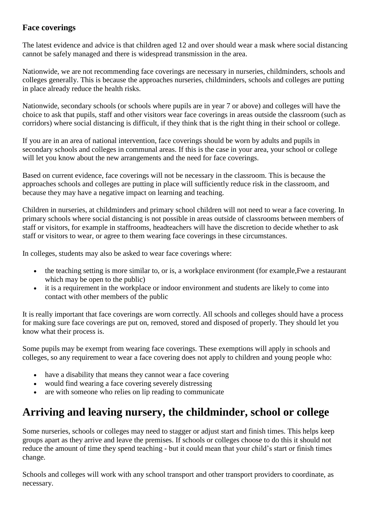#### **Face coverings**

The latest evidence and advice is that children aged 12 and over should wear a mask where social distancing cannot be safely managed and there is widespread transmission in the area.

Nationwide, we are not recommending face coverings are necessary in nurseries, childminders, schools and colleges generally. This is because the approaches nurseries, childminders, schools and colleges are putting in place already reduce the health risks.

Nationwide, secondary schools (or schools where pupils are in year 7 or above) and colleges will have the choice to ask that pupils, staff and other visitors wear face coverings in areas outside the classroom (such as corridors) where social distancing is difficult, if they think that is the right thing in their school or college.

If you are in an area of national intervention, face coverings should be worn by adults and pupils in secondary schools and colleges in communal areas. If this is the case in your area, your school or college will let you know about the new arrangements and the need for face coverings.

Based on current evidence, face coverings will not be necessary in the classroom. This is because the approaches schools and colleges are putting in place will sufficiently reduce risk in the classroom, and because they may have a negative impact on learning and teaching.

Children in nurseries, at childminders and primary school children will not need to wear a face covering. In primary schools where social distancing is not possible in areas outside of classrooms between members of staff or visitors, for example in staffrooms, headteachers will have the discretion to decide whether to ask staff or visitors to wear, or agree to them wearing face coverings in these circumstances.

In colleges, students may also be asked to wear face coverings where:

- the teaching setting is more similar to, or is, a workplace environment (for example. Fwe a restaurant which may be open to the public)
- it is a requirement in the workplace or indoor environment and students are likely to come into contact with other members of the public

It is really important that face coverings are worn correctly. All schools and colleges should have a process for making sure face coverings are put on, removed, stored and disposed of properly. They should let you know what their process is.

Some pupils may be exempt from wearing face coverings. These exemptions will apply in schools and colleges, so any requirement to wear a face covering does not apply to children and young people who:

- have a disability that means they cannot wear a face covering
- would find wearing a face covering severely distressing
- are with someone who relies on lip reading to communicate

### **Arriving and leaving nursery, the childminder, school or college**

Some nurseries, schools or colleges may need to stagger or adjust start and finish times. This helps keep groups apart as they arrive and leave the premises. If schools or colleges choose to do this it should not reduce the amount of time they spend teaching - but it could mean that your child's start or finish times change.

Schools and colleges will work with any school transport and other transport providers to coordinate, as necessary.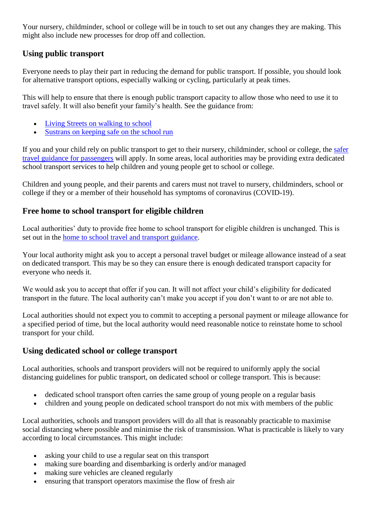Your nursery, childminder, school or college will be in touch to set out any changes they are making. This might also include new processes for drop off and collection.

#### **Using public transport**

Everyone needs to play their part in reducing the demand for public transport. If possible, you should look for alternative transport options, especially walking or cycling, particularly at peak times.

This will help to ensure that there is enough public transport capacity to allow those who need to use it to travel safely. It will also benefit your family's health. See the guidance from:

- [Living Streets on walking to school](https://www.livingstreets.org.uk/walk-to-school/parents-and-carers)
- [Sustrans on keeping safe on the school run](https://www.sustrans.org.uk/our-blog/get-active/2020/everyday-walking-and-cycling/heading-back-to-school-after-lockdown-advice-for-families/)

If you and your child rely on public transport to get to their nursery, childminder, school or college, the [safer](https://www.gov.uk/guidance/coronavirus-covid-19-safer-travel-guidance-for-passengers)  [travel guidance for passengers](https://www.gov.uk/guidance/coronavirus-covid-19-safer-travel-guidance-for-passengers) will apply. In some areas, local authorities may be providing extra dedicated school transport services to help children and young people get to school or college.

Children and young people, and their parents and carers must not travel to nursery, childminders, school or college if they or a member of their household has symptoms of coronavirus (COVID-19).

#### **Free home to school transport for eligible children**

Local authorities' duty to provide free home to school transport for eligible children is unchanged. This is set out in the [home to school travel and transport guidance.](https://www.gov.uk/government/publications/transport-to-school-and-other-places-of-education-autumn-term-2020)

Your local authority might ask you to accept a personal travel budget or mileage allowance instead of a seat on dedicated transport. This may be so they can ensure there is enough dedicated transport capacity for everyone who needs it.

We would ask you to accept that offer if you can. It will not affect your child's eligibility for dedicated transport in the future. The local authority can't make you accept if you don't want to or are not able to.

Local authorities should not expect you to commit to accepting a personal payment or mileage allowance for a specified period of time, but the local authority would need reasonable notice to reinstate home to school transport for your child.

#### **Using dedicated school or college transport**

Local authorities, schools and transport providers will not be required to uniformly apply the social distancing guidelines for public transport, on dedicated school or college transport. This is because:

- dedicated school transport often carries the same group of young people on a regular basis
- children and young people on dedicated school transport do not mix with members of the public

Local authorities, schools and transport providers will do all that is reasonably practicable to maximise social distancing where possible and minimise the risk of transmission. What is practicable is likely to vary according to local circumstances. This might include:

- asking your child to use a regular seat on this transport
- making sure boarding and disembarking is orderly and/or managed
- making sure vehicles are cleaned regularly
- ensuring that transport operators maximise the flow of fresh air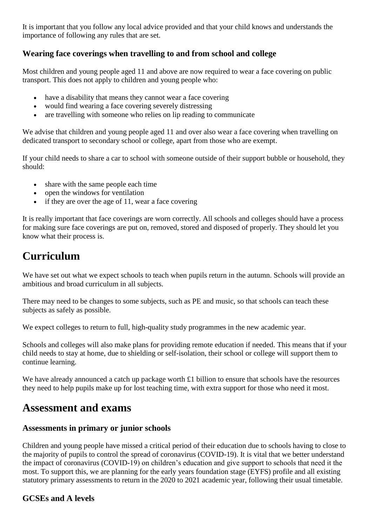It is important that you follow any local advice provided and that your child knows and understands the importance of following any rules that are set.

#### **Wearing face coverings when travelling to and from school and college**

Most children and young people aged 11 and above are now required to wear a face covering on public transport. This does not apply to children and young people who:

- have a disability that means they cannot wear a face covering
- would find wearing a face covering severely distressing
- are travelling with someone who relies on lip reading to communicate

We advise that children and young people aged 11 and over also wear a face covering when travelling on dedicated transport to secondary school or college, apart from those who are exempt.

If your child needs to share a car to school with someone outside of their support bubble or household, they should:

- share with the same people each time
- open the windows for ventilation
- $\bullet$  if they are over the age of 11, wear a face covering

It is really important that face coverings are worn correctly. All schools and colleges should have a process for making sure face coverings are put on, removed, stored and disposed of properly. They should let you know what their process is.

# **Curriculum**

We have set out what we expect schools to teach when pupils return in the autumn. Schools will provide an ambitious and broad curriculum in all subjects.

There may need to be changes to some subjects, such as PE and music, so that schools can teach these subjects as safely as possible.

We expect colleges to return to full, high-quality study programmes in the new academic year.

Schools and colleges will also make plans for providing remote education if needed. This means that if your child needs to stay at home, due to shielding or self-isolation, their school or college will support them to continue learning.

We have already announced a catch up package worth  $\pounds 1$  billion to ensure that schools have the resources they need to help pupils make up for lost teaching time, with extra support for those who need it most.

#### **Assessment and exams**

#### **Assessments in primary or junior schools**

Children and young people have missed a critical period of their education due to schools having to close to the majority of pupils to control the spread of coronavirus (COVID-19). It is vital that we better understand the impact of coronavirus (COVID-19) on children's education and give support to schools that need it the most. To support this, we are planning for the early years foundation stage (EYFS) profile and all existing statutory primary assessments to return in the 2020 to 2021 academic year, following their usual timetable.

#### **GCSEs and A levels**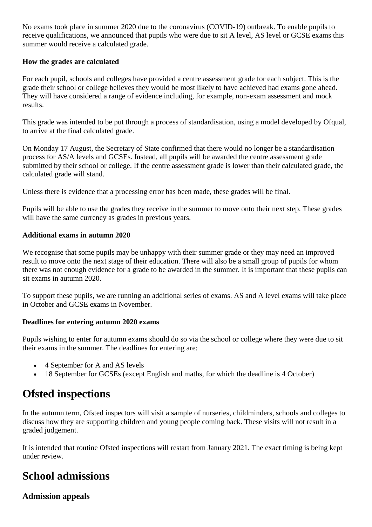No exams took place in summer 2020 due to the coronavirus (COVID-19) outbreak. To enable pupils to receive qualifications, we announced that pupils who were due to sit A level, AS level or GCSE exams this summer would receive a calculated grade.

#### **How the grades are calculated**

For each pupil, schools and colleges have provided a centre assessment grade for each subject. This is the grade their school or college believes they would be most likely to have achieved had exams gone ahead. They will have considered a range of evidence including, for example, non-exam assessment and mock results.

This grade was intended to be put through a process of standardisation, using a model developed by Ofqual, to arrive at the final calculated grade.

On Monday 17 August, the Secretary of State confirmed that there would no longer be a standardisation process for AS/A levels and GCSEs. Instead, all pupils will be awarded the centre assessment grade submitted by their school or college. If the centre assessment grade is lower than their calculated grade, the calculated grade will stand.

Unless there is evidence that a processing error has been made, these grades will be final.

Pupils will be able to use the grades they receive in the summer to move onto their next step. These grades will have the same currency as grades in previous years.

#### **Additional exams in autumn 2020**

We recognise that some pupils may be unhappy with their summer grade or they may need an improved result to move onto the next stage of their education. There will also be a small group of pupils for whom there was not enough evidence for a grade to be awarded in the summer. It is important that these pupils can sit exams in autumn 2020.

To support these pupils, we are running an additional series of exams. AS and A level exams will take place in October and GCSE exams in November.

#### **Deadlines for entering autumn 2020 exams**

Pupils wishing to enter for autumn exams should do so via the school or college where they were due to sit their exams in the summer. The deadlines for entering are:

- 4 September for A and AS levels
- 18 September for GCSEs (except English and maths, for which the deadline is 4 October)

### **Ofsted inspections**

In the autumn term, Ofsted inspectors will visit a sample of nurseries, childminders, schools and colleges to discuss how they are supporting children and young people coming back. These visits will not result in a graded judgement.

It is intended that routine Ofsted inspections will restart from January 2021. The exact timing is being kept under review.

### **School admissions**

#### **Admission appeals**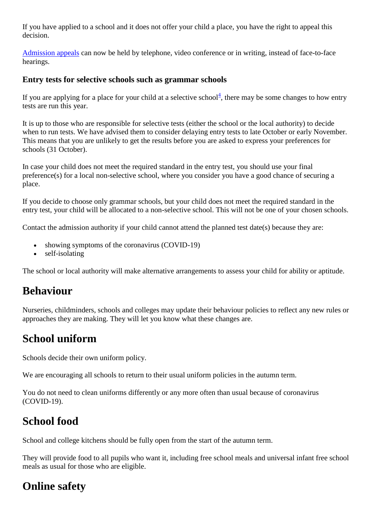If you have applied to a school and it does not offer your child a place, you have the right to appeal this decision.

[Admission appeals](https://www.gov.uk/government/publications/school-admissions-appeals-code/changes-to-the-school-admission-appeals-code-regulations-during-the-coronavirus-outbreak) can now be held by telephone, video conference or in writing, instead of face-to-face hearings.

#### **Entry tests for selective schools such as grammar schools**

If you are applying for a place for your child at a selective school<sup>4</sup>[,](https://www.gov.uk/government/publications/what-parents-and-carers-need-to-know-about-early-years-providers-schools-and-colleges-during-the-coronavirus-covid-19-outbreak/what-parents-and-carers-need-to-know-about-early-years-providers-schools-and-colleges-in-the-autumn-term#fn:4) there may be some changes to how entry tests are run this year.

It is up to those who are responsible for selective tests (either the school or the local authority) to decide when to run tests. We have advised them to consider delaying entry tests to late October or early November. This means that you are unlikely to get the results before you are asked to express your preferences for schools (31 October).

In case your child does not meet the required standard in the entry test, you should use your final preference(s) for a local non-selective school, where you consider you have a good chance of securing a place.

If you decide to choose only grammar schools, but your child does not meet the required standard in the entry test, your child will be allocated to a non-selective school. This will not be one of your chosen schools.

Contact the admission authority if your child cannot attend the planned test date(s) because they are:

- showing symptoms of the coronavirus (COVID-19)
- self-isolating

The school or local authority will make alternative arrangements to assess your child for ability or aptitude.

### **Behaviour**

Nurseries, childminders, schools and colleges may update their behaviour policies to reflect any new rules or approaches they are making. They will let you know what these changes are.

# **School uniform**

Schools decide their own uniform policy.

We are encouraging all schools to return to their usual uniform policies in the autumn term.

You do not need to clean uniforms differently or any more often than usual because of coronavirus (COVID-19).

# **School food**

School and college kitchens should be fully open from the start of the autumn term.

They will provide food to all pupils who want it, including free school meals and universal infant free school meals as usual for those who are eligible.

### **Online safety**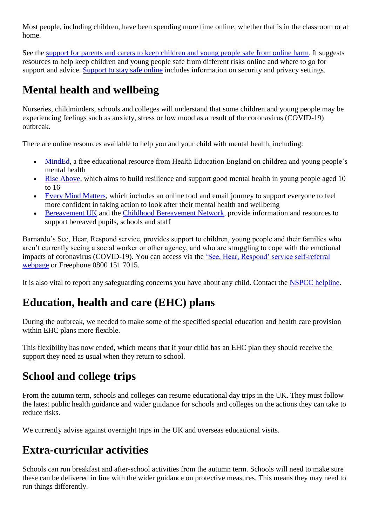Most people, including children, have been spending more time online, whether that is in the classroom or at home.

See the [support for parents and carers to keep children and young people safe from online harm.](https://www.gov.uk/government/publications/coronavirus-covid-19-keeping-children-safe-online/coronavirus-covid-19-support-for-parents-and-carers-to-keep-children-safe-online) It suggests resources to help keep children and young people safe from different risks online and where to go for support and advice. [Support to stay safe online](https://www.gov.uk/guidance/covid-19-staying-safe-online) includes information on security and privacy settings.

# **Mental health and wellbeing**

Nurseries, childminders, schools and colleges will understand that some children and young people may be experiencing feelings such as anxiety, stress or low mood as a result of the coronavirus (COVID-19) outbreak.

There are online resources available to help you and your child with mental health, including:

- [MindEd,](https://www.minded.org.uk/) a free educational resource from Health Education England on children and young people's mental health
- [Rise Above,](https://campaignresources.phe.gov.uk/schools/topics/rise-above/overview) which aims to build resilience and support good mental health in young people aged 10 to 16
- [Every Mind Matters,](https://www.nhs.uk/oneyou/every-mind-matters/) which includes an online tool and email journey to support everyone to feel more confident in taking action to look after their mental health and wellbeing
- [Bereavement UK](https://www.childbereavementuk.org/) and the [Childhood Bereavement Network,](http://www.childhoodbereavementnetwork.org.uk/covid-19.aspx) provide information and resources to support bereaved pupils, schools and staff

Barnardo's See, Hear, Respond service, provides support to children, young people and their families who aren't currently seeing a social worker or other agency, and who are struggling to cope with the emotional impacts of coronavirus (COVID-19). You can access via the ['See, Hear, Respond' service self-referral](https://www.barnardos.org.uk/c19)  [webpage](https://www.barnardos.org.uk/c19) or Freephone 0800 151 7015.

It is also vital to report any safeguarding concerns you have about any child. Contact the [NSPCC helpline.](https://www.nspcc.org.uk/keeping-children-safe/reporting-abuse/dedicated-helplines/)

# **Education, health and care (EHC) plans**

During the outbreak, we needed to make some of the specified special education and health care provision within EHC plans more flexible.

This flexibility has now ended, which means that if your child has an EHC plan they should receive the support they need as usual when they return to school.

# **School and college trips**

From the autumn term, schools and colleges can resume educational day trips in the UK. They must follow the latest public health guidance and wider guidance for schools and colleges on the actions they can take to reduce risks.

We currently advise against overnight trips in the UK and overseas educational visits.

# **Extra-curricular activities**

Schools can run breakfast and after-school activities from the autumn term. Schools will need to make sure these can be delivered in line with the wider guidance on protective measures. This means they may need to run things differently.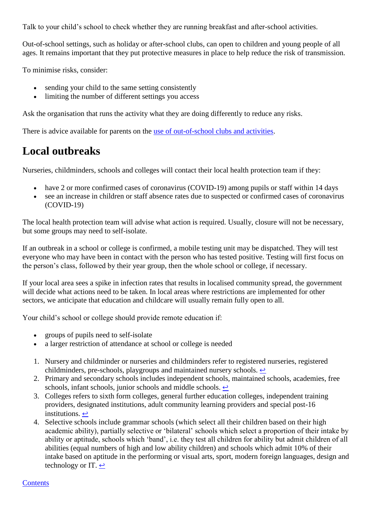Talk to your child's school to check whether they are running breakfast and after-school activities.

Out-of-school settings, such as holiday or after-school clubs, can open to children and young people of all ages. It remains important that they put protective measures in place to help reduce the risk of transmission.

To minimise risks, consider:

- sending your child to the same setting consistently
- limiting the number of different settings you access

Ask the organisation that runs the activity what they are doing differently to reduce any risks.

There is advice available for parents on the [use of out-of-school clubs and activities.](https://www.gov.uk/government/publications/guidance-for-parents-and-carers-of-children-attending-out-of-school-settings-during-the-coronavirus-covid-19-outbreak/guidance-for-parents-and-carers-of-children-attending-out-of-school-settings-during-the-coronavirus-covid-19-outbreak)

# **Local outbreaks**

Nurseries, childminders, schools and colleges will contact their local health protection team if they:

- have 2 or more confirmed cases of coronavirus (COVID-19) among pupils or staff within 14 days
- see an increase in children or staff absence rates due to suspected or confirmed cases of coronavirus (COVID-19)

The local health protection team will advise what action is required. Usually, closure will not be necessary, but some groups may need to self-isolate.

If an outbreak in a school or college is confirmed, a mobile testing unit may be dispatched. They will test everyone who may have been in contact with the person who has tested positive. Testing will first focus on the person's class, followed by their year group, then the whole school or college, if necessary.

If your local area sees a spike in infection rates that results in localised community spread, the government will decide what actions need to be taken. In local areas where restrictions are implemented for other sectors, we anticipate that education and childcare will usually remain fully open to all.

Your child's school or college should provide remote education if:

- groups of pupils need to self-isolate
- a larger restriction of attendance at school or college is needed
- 1. Nursery and childminder or nurseries and childminders refer to registered nurseries, registered childminders, pre-schools, playgroups and maintained nursery schools.  $\leftrightarrow$
- 2. Primary and secondary schools includes independent schools, maintained schools, academies, free schools, infant schools, junior schools and middle schools.  $\leftrightarrow$
- 3. Colleges refers to sixth form colleges, general further education colleges, independent training providers, designated institutions, adult community learning providers and special post-16 institutions.  $\leftrightarrow$
- 4. Selective schools include grammar schools (which select all their children based on their high academic ability), partially selective or 'bilateral' schools which select a proportion of their intake by ability or aptitude, schools which 'band', i.e. they test all children for ability but admit children of all abilities (equal numbers of high and low ability children) and schools which admit 10% of their intake based on aptitude in the performing or visual arts, sport, modern foreign languages, design and technology or IT.  $\leftrightarrow$

#### **Contents**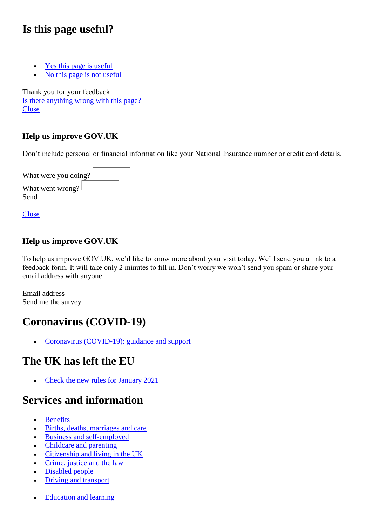### **Is this page useful?**

- [Yes this page is useful](https://www.gov.uk/contact/govuk)
- [No this page is not useful](https://www.gov.uk/contact/govuk)

Thank you for your feedback [Is there anything wrong with this page?](https://www.gov.uk/contact/govuk)  **[Close](https://www.gov.uk/government/publications/what-parents-and-carers-need-to-know-about-early-years-providers-schools-and-colleges-during-the-coronavirus-covid-19-outbreak/what-parents-and-carers-need-to-know-about-early-years-providers-schools-and-colleges-in-the-autumn-term)** 

#### **Help us improve GOV.UK**

Don't include personal or financial information like your National Insurance number or credit card details.

What were you doing? What went wrong? Send

**[Close](https://www.gov.uk/government/publications/what-parents-and-carers-need-to-know-about-early-years-providers-schools-and-colleges-during-the-coronavirus-covid-19-outbreak/what-parents-and-carers-need-to-know-about-early-years-providers-schools-and-colleges-in-the-autumn-term)** 

#### **Help us improve GOV.UK**

To help us improve GOV.UK, we'd like to know more about your visit today. We'll send you a link to a feedback form. It will take only 2 minutes to fill in. Don't worry we won't send you spam or share your email address with anyone.

Email address Send me the survey

# **Coronavirus (COVID-19)**

• Coronavirus (COVID-19): guidance and support

### **The UK has left the EU**

• Check the new rules for January 2021

### **Services and information**

- Benefits
- [Births, deaths, marriages and care](https://www.gov.uk/browse/births-deaths-marriages)
- [Business and self-employed](https://www.gov.uk/browse/business)
- [Childcare and parenting](https://www.gov.uk/browse/childcare-parenting)
- [Citizenship and living in the UK](https://www.gov.uk/browse/citizenship)
- Crime, justice and the law
- Disabled people
- Driving and transport
- Education and learning